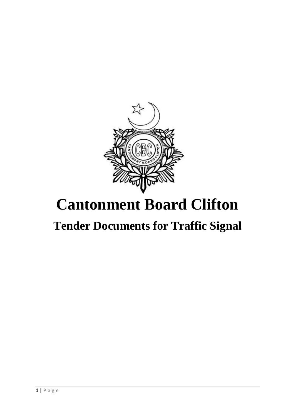

# **Cantonment Board Clifton**

## **Tender Documents for Traffic Signal**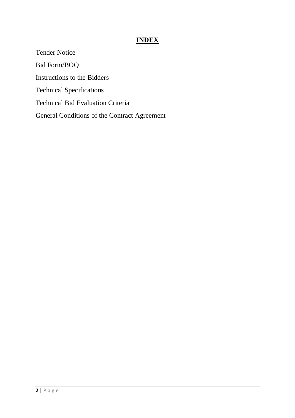#### **INDEX**

Tender Notice Bid Form/BOQ Instructions to the Bidders Technical Specifications Technical Bid Evaluation Criteria General Conditions of the Contract Agreement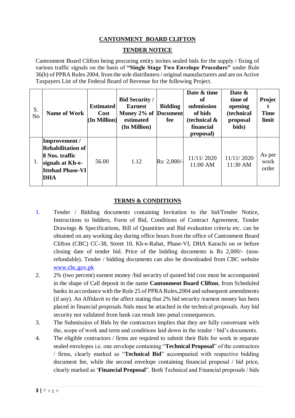#### **CANTONMENT BOARD CLIFTON**

#### **TENDER NOTICE**

Cantonment Board Clifton being procuring entity invites sealed bids for the supply / fixing of various traffic signals on the basis of **"Single Stage Two Envelope Procedure"** under Rule 36(b) of PPRA Rules 2004, from the sole distributers / original manufacturers and are on Active Taxpayers List of the Federal Board of Revenue for the following Project.

| S.<br>N <sub>o</sub> | <b>Name of Work</b>                                                                                               | <b>Estimated</b><br>Cost<br>(In Million) | <b>Bid Security /</b><br><b>Earnest</b><br>Money 2% of Document<br>estimated<br>(In Million) | <b>Bidding</b><br>fee | Date & time<br>оf<br>submission<br>of bids<br>(technical $\&$<br>financial<br>proposal) | Date &<br>time of<br>opening<br>(technical<br>proposal<br>bids) | Projec<br><b>Time</b><br>limit |
|----------------------|-------------------------------------------------------------------------------------------------------------------|------------------------------------------|----------------------------------------------------------------------------------------------|-----------------------|-----------------------------------------------------------------------------------------|-----------------------------------------------------------------|--------------------------------|
|                      | Improvement /<br><b>Rehabilitation of</b><br>8 Nos. traffic<br>signals at Kh-e-<br><b>Ittehad Phase-VI</b><br>DHA | 56.00                                    | 1.12                                                                                         | Rs: 2,000/-           | 11/11/2020<br>11:00 AM                                                                  | 11/11/2020<br>11:30 AM                                          | As per<br>work<br>order        |

#### **TERMS & CONDITIONS**

- 1. Tender / Bidding documents containing Invitation to the bid/Tender Notice, Instructions to bidders, Form of Bid, Conditions of Contract Agreement, Tender Drawings & Specifications, Bill of Quantities and Bid evaluation criteria etc. can be obtained on any working day during office hours from the office of Cantonment Board Clifton (CBC) CC-38, Street 10, Kh-e-Rahat, Phase-VI, DHA Karachi on or before closing date of tender bid. Price of the bidding documents is Rs 2,000/- (nonrefundable). Tender / bidding documents can also be downloaded from CBC website [www.cbc.gov.pk](http://www.cbc.gov.pk/)
- 2. 2% (two percent) earnest money /bid security of quoted bid cost must be accompanied in the shape of Call deposit in the name **Cantonment Board Clifton**, from Scheduled banks in accordance with the Rule 25 of PPRA Rules,2004 and subsequent amendments (if any). An Affidavit to the affect stating that 2% bid security /earnest money has been placed in financial proposals /bids must be attached in the technical proposals. Any bid security not validated from bank can result into penal consequences.
- 3. The Submission of Bids by the contractors implies that they are fully conversant with the, scope of work and term and conditions laid down in the tender / bid's documents.
- 4. The eligible contractors / firms are required to submit their Bids for work in separate sealed envelopes i.e. one envelope containing "**Technical Proposal**" of the contractors / firms, clearly marked as "**Technical Bid**" accompanied with respective bidding document fee, while the second envelope containing financial proposal / bid price, clearly marked as '**Financial Proposal**". Both Technical and Financial proposals / bids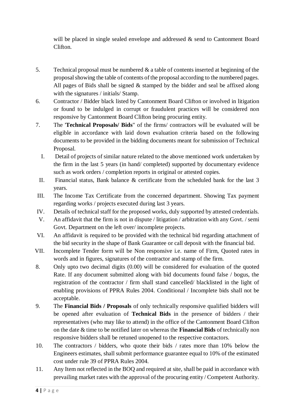will be placed in single sealed envelope and addressed & send to Cantonment Board Clifton.

- 5. Technical proposal must be numbered  $\&$  a table of contents inserted at beginning of the proposalshowing the table of contents of the proposal according to the numbered pages. All pages of Bids shall be signed & stamped by the bidder and seal be affixed along with the signatures / initials/ Stamp.
- 6. Contractor / Bidder black listed by Cantonment Board Clifton or involved in litigation or found to be indulged in corrupt or fraudulent practices will be considered non responsive by Cantonment Board Clifton being procuring entity.
- 7. The '**Technical Proposals/ Bids**" of the firms/ contractors will be evaluated will be eligible in accordance with laid down evaluation criteria based on the following documents to be provided in the bidding documents meant for submission of Technical Proposal.
	- I. Detail of projects of similar nature related to the above mentioned work undertaken by the firm in the last 5 years (in hand/ completed) supported by documentary evidence such as work orders / completion reports in original or attested copies.
- II. Financial status, Bank balance & certificate from the scheduled bank for the last 3 years.
- III. The Income Tax Certificate from the concerned department. Showing Tax payment regarding works / projects executed during last 3 years.
- IV. Details of technical staff for the proposed works, duly supported by attested credentials.
- V. An affidavit that the firm is not in dispute / litigation / arbitration with any Govt. / semi Govt. Department on the left over/ incomplete projects.
- VI. An affidavit is required to be provided with the technical bid regarding attachment of the bid security in the shape of Bank Guarantee or call deposit with the financial bid.
- VII. Incomplete Tender form will be Non responsive i.e. name of Firm, Quoted rates in words and in figures, signatures of the contractor and stamp of the firm.
- 8. Only upto two decimal digits (0.00) will be considered for evaluation of the quoted Rate. If any document submitted along with bid documents found false / bogus, the registration of the contractor / firm shall stand cancelled/ blacklisted in the light of enabling provisions of PPRA Rules 2004. Conditional / Incomplete bids shall not be acceptable.
- 9. The **Financial Bids / Proposals** of only technically responsive qualified bidders will be opened after evaluation of **Technical Bids** in the presence of bidders / their representatives (who may like to attend) in the office of the Cantonment Board Clifton on the date & time to be notified later on whereas the **Financial Bids** of technically non responsive bidders shall be retuned unopened to the respective contactors.
- 10. The contractors / bidders, who quote their bids / rates more than 10% below the Engineers estimates, shall submit performance guarantee equal to 10% of the estimated cost under rule 39 of PPRA Rules 2004.
- 11. Any Item not reflected in the BOQ and required at site, shall be paid in accordance with prevailing market rates with the approval of the procuring entity / Competent Authority.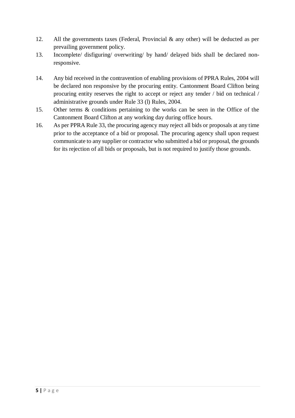- 12. All the governments taxes (Federal, Provincial  $\&$  any other) will be deducted as per prevailing government policy.
- 13. Incomplete/ disfiguring/ overwriting/ by hand/ delayed bids shall be declared nonresponsive.
- 14. Any bid received in the contravention of enabling provisions of PPRA Rules, 2004 will be declared non responsive by the procuring entity. Cantonment Board Clifton being procuring entity reserves the right to accept or reject any tender / bid on technical / administrative grounds under Rule 33 (l) Rules, 2004.
- 15. Other terms & conditions pertaining to the works can be seen in the Office of the Cantonment Board Clifton at any working day during office hours.
- 16. As per PPRA Rule 33, the procuring agency may reject all bids or proposals at any time prior to the acceptance of a bid or proposal. The procuring agency shall upon request communicate to any supplier or contractor who submitted a bid or proposal, the grounds for its rejection of all bids or proposals, but is not required to justify those grounds.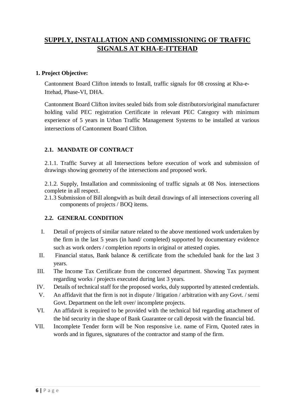### **SUPPLY, INSTALLATION AND COMMISSIONING OF TRAFFIC SIGNALS AT KHA-E-ITTEHAD**

#### **1. Project Objective:**

Cantonment Board Clifton intends to Install, traffic signals for 08 crossing at Kha-e-Ittehad, Phase-VI, DHA.

Cantonment Board Clifton invites sealed bids from sole distributors/original manufacturer holding valid PEC registration Certificate in relevant PEC Category with minimum experience of 5 years in Urban Traffic Management Systems to be installed at various intersections of Cantonment Board Clifton.

#### **2.1. MANDATE OF CONTRACT**

2.1.1. Traffic Survey at all Intersections before execution of work and submission of drawings showing geometry of the intersections and proposed work.

2.1.2. Supply, Installation and commissioning of traffic signals at 08 Nos. intersections complete in all respect.

2.1.3 Submission of Bill alongwith as built detail drawings of all intersections covering all components of projects / BOQ items.

#### **2.2. GENERAL CONDITION**

- I. Detail of projects of similar nature related to the above mentioned work undertaken by the firm in the last 5 years (in hand/ completed) supported by documentary evidence such as work orders / completion reports in original or attested copies.
- II. Financial status, Bank balance & certificate from the scheduled bank for the last 3 years.
- III. The Income Tax Certificate from the concerned department. Showing Tax payment regarding works / projects executed during last 3 years.
- IV. Details of technical staff for the proposed works, duly supported by attested credentials.
- V. An affidavit that the firm is not in dispute / litigation / arbitration with any Govt. / semi Govt. Department on the left over/ incomplete projects.
- VI. An affidavit is required to be provided with the technical bid regarding attachment of the bid security in the shape of Bank Guarantee or call deposit with the financial bid.
- VII. Incomplete Tender form will be Non responsive i.e. name of Firm, Quoted rates in words and in figures, signatures of the contractor and stamp of the firm.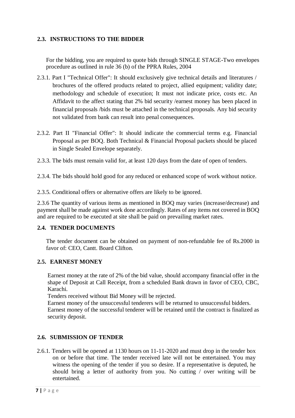#### **2.3. INSTRUCTIONS TO THE BIDDER**

For the bidding, you are required to quote bids through SINGLE STAGE-Two envelopes procedure as outlined in rule 36 (b) of the PPRA Rules, 2004

- 2.3.1. Part I "Technical Offer": It should exclusively give technical details and literatures / brochures of the offered products related to project, allied equipment; validity date; methodology and schedule of execution; It must not indicate price, costs etc. An Affidavit to the affect stating that 2% bid security /earnest money has been placed in financial proposals /bids must be attached in the technical proposals. Any bid security not validated from bank can result into penal consequences.
- 2.3.2. Part II "Financial Offer": It should indicate the commercial terms e.g. Financial Proposal as per BOQ. Both Technical & Financial Proposal packets should be placed in Single Sealed Envelope separately.
- 2.3.3. The bids must remain valid for, at least 120 days from the date of open of tenders.
- 2.3.4. The bids should hold good for any reduced or enhanced scope of work without notice.
- 2.3.5. Conditional offers or alternative offers are likely to be ignored.

2.3.6 The quantity of various items as mentioned in BOQ may varies (increase/decrease) and payment shall be made against work done accordingly. Rates of any items not covered in BOQ and are required to be executed at site shall be paid on prevailing market rates.

#### **2.4. TENDER DOCUMENTS**

The tender document can be obtained on payment of non-refundable fee of Rs.2000 in favor of: CEO, Cantt. Board Clifton.

#### **2.5. EARNEST MONEY**

Earnest money at the rate of 2% of the bid value, should accompany financial offer in the shape of Deposit at Call Receipt, from a scheduled Bank drawn in favor of CEO, CBC, Karachi.

Tenders received without Bid Money will be rejected.

Earnest money of the unsuccessful tenderers will be returned to unsuccessful bidders. Earnest money of the successful tenderer will be retained until the contract is finalized as security deposit.

#### **2.6. SUBMISSION OF TENDER**

2.6.1. Tenders will be opened at 1130 hours on 11-11-2020 and must drop in the tender box on or before that time. The tender received late will not be entertained. You may witness the opening of the tender if you so desire. If a representative is deputed, he should bring a letter of authority from you. No cutting / over writing will be entertained.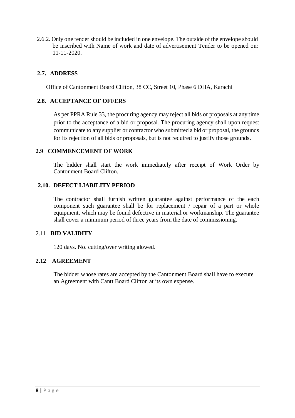2.6.2. Only one tender should be included in one envelope. The outside of the envelope should be inscribed with Name of work and date of advertisement Tender to be opened on: 11-11-2020.

#### **2.7. ADDRESS**

Office of Cantonment Board Clifton, 38 CC, Street 10, Phase 6 DHA, Karachi

#### **2.8. ACCEPTANCE OF OFFERS**

As per PPRA Rule 33, the procuring agency may reject all bids or proposals at any time prior to the acceptance of a bid or proposal. The procuring agency shall upon request communicate to any supplier or contractor who submitted a bid or proposal, the grounds for its rejection of all bids or proposals, but is not required to justify those grounds.

#### **2.9 COMMENCEMENT OF WORK**

The bidder shall start the work immediately after receipt of Work Order by Cantonment Board Clifton.

#### **2.10. DEFECT LIABILITY PERIOD**

The contractor shall furnish written guarantee against performance of the each component such guarantee shall be for replacement / repair of a part or whole equipment, which may be found defective in material or workmanship. The guarantee shall cover a minimum period of three years from the date of commissioning.

#### 2.11 **BID VALIDITY**

120 days. No. cutting/over writing alowed.

#### **2.12 AGREEMENT**

The bidder whose rates are accepted by the Cantonment Board shall have to execute an Agreement with Cantt Board Clifton at its own expense.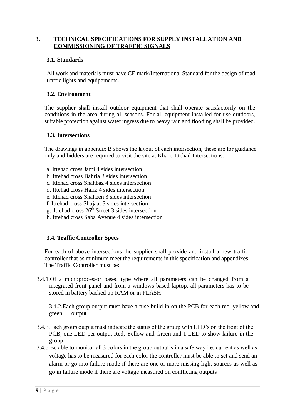#### **3. TECHNICAL SPECIFICATIONS FOR SUPPLY INSTALLATION AND COMMISSIONING OF TRAFFIC SIGNALS**

#### **3.1. Standards**

All work and materials must have CE mark/International Standard for the design of road traffic lights and equipements.

#### **3.2. Environment**

The supplier shall install outdoor equipment that shall operate satisfactorily on the conditions in the area during all seasons. For all equipment installed for use outdoors, suitable protection against water ingress due to heavy rain and flooding shall be provided.

#### **3.3. Intersections**

The drawings in appendix B shows the layout of each intersection, these are for guidance only and bidders are required to visit the site at Kha-e-Ittehad Intersections.

- a. Ittehad cross Jami 4 sides intersection
- b. Ittehad cross Bahria 3 sides intersection
- c. Ittehad cross Shahbaz 4 sides intersection
- d. Ittehad cross Hafiz 4 sides intersection
- e. Ittehad cross Shaheen 3 sides intersection
- f. Ittehad cross Shujaat 3 sides intersection
- g. Ittehad cross  $26<sup>th</sup>$  Street 3 sides intersection
- h. Ittehad cross Saba Avenue 4 sides intersection

#### **3.4. Traffic Controller Specs**

For each of above intersections the supplier shall provide and install a new traffic controller that as minimum meet the requirements in this specification and appendixes The Traffic Controller must be:

3.4.1.Of a microprocessor based type where all parameters can be changed from a integrated front panel and from a windows based laptop, all parameters has to be stored in battery backed up RAM or in FLASH

3.4.2.Each group output must have a fuse build in on the PCB for each red, yellow and green output

- 3.4.3.Each group output must indicate the status of the group with LED's on the front of the PCB, one LED per output Red, Yellow and Green and 1 LED to show failure in the group
- 3.4.5.Be able to monitor all 3 colors in the group output's in a safe way i.e. current as well as voltage has to be measured for each color the controller must be able to set and send an alarm or go into failure mode if there are one or more missing light sources as well as go in failure mode if there are voltage measured on conflicting outputs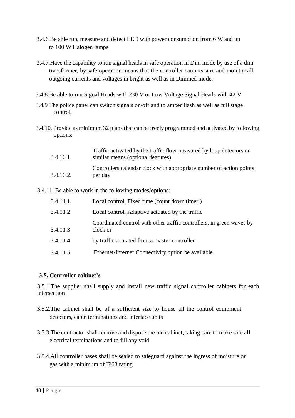- 3.4.6.Be able run, measure and detect LED with power consumption from 6 W and up to 100 W Halogen lamps
- 3.4.7.Have the capability to run signal heads in safe operation in Dim mode by use of a dim transformer, by safe operation means that the controller can measure and monitor all outgoing currents and voltages in bright as well as in Dimmed mode.
- 3.4.8.Be able to run Signal Heads with 230 V or Low Voltage Signal Heads with 42 V
- 3.4.9 The police panel can switch signals on/off and to amber flash as well as full stage control.
- 3.4.10. Provide as minimum 32 plans that can be freely programmed and activated by following options:

| 3.4.10.1. | Traffic activated by the traffic flow measured by loop detectors or<br>similar means (optional features) |
|-----------|----------------------------------------------------------------------------------------------------------|
| 3.4.10.2. | Controllers calendar clock with appropriate number of action points<br>per day                           |

3.4.11. Be able to work in the following modes/options:

| 3.4.11.1. | Local control, Fixed time (count down timer)                                      |
|-----------|-----------------------------------------------------------------------------------|
| 3.4.11.2  | Local control, Adaptive actuated by the traffic                                   |
| 3.4.11.3  | Coordinated control with other traffic controllers, in green waves by<br>clock or |
| 3.4.11.4  | by traffic actuated from a master controller                                      |
| 3.4.11.5  | Ethernet/Internet Connectivity option be available                                |

#### **3.5. Controller cabinet's**

3.5.1.The supplier shall supply and install new traffic signal controller cabinets for each intersection

- 3.5.2.The cabinet shall be of a sufficient size to house all the control equipment detectors, cable terminations and interface units
- 3.5.3.The contractor shall remove and dispose the old cabinet, taking care to make safe all electrical terminations and to fill any void
- 3.5.4.All controller bases shall be sealed to safeguard against the ingress of moisture or gas with a minimum of IP68 rating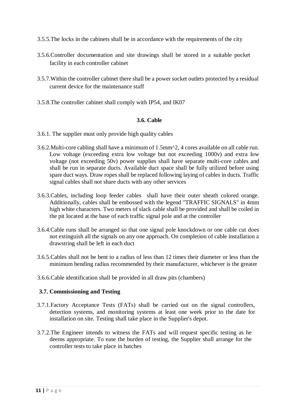- 3.5.5.The locks in the cabinets shall be in accordance with the requirements of the city
- 3.5.6.Controller documentation and site drawings shall be stored in a suitable pocket facility in each controller cabinet
- 3.5.7.Within the controller cabinet there shall be a power socket outlets protected by a residual current device for the maintenance staff
- 3.5.8.The controller cabinet shall comply with IP54, and IK07

#### **3.6. Cable**

- 3.6.1. The supplier must only provide high quality cables
- 3.6.2.Multi-core cabling shall have a minimum of 1.5mm^2, 4 cores available on all cable run. Low voltage (exceeding extra low voltage but not exceeding 1000v) and extra low voltage (not exceeding 50v) power supplies shall have separate multi-core cables and shall be run in separate ducts. Available duct space shall be fully utilized before using spare duct ways. Draw ropes shall be replaced following laying of cables in ducts. Traffic signal cables shall not share ducts with any other services
- 3.6.3.Cables, including loop feeder cables shall have their outer sheath colored orange. Additionally, cables shall be embossed with the legend "TRAFFIC SIGNALS" in 4mm high white characters. Two meters of slack cable shall be provided and shall be coiled in the pit located at the base of each traffic signal pole and at the controller
- 3.6.4.Cable runs shall be arranged so that one signal pole knockdown or one cable cut does not extinguish all the signals on any one approach. On completion of cable installation a drawstring shall be left in each duct
- 3.6.5.Cables shall not be bent to a radius of less than 12 times their diameter or less than the minimum bending radius recommended by their manufacturer, whichever is the greater
- 3.6.6.Cable identification shall be provided in all draw pits (chambers)

#### **3.7. Commissioning and Testing**

- 3.7.1.Factory Acceptance Tests (FATs) shall be carried out on the signal controllers, detection systems, and monitoring systems at least one week prior to the date for installation on site. Testing shall take place in the Supplier's depot.
- 3.7.2.The Engineer intends to witness the FATs and will request specific testing as he deems appropriate. To ease the burden of testing, the Supplier shall arrange for the controller tests to take place in batches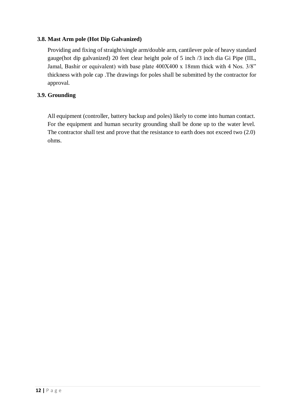#### **3.8. Mast Arm pole (Hot Dip Galvanized)**

Providing and fixing of straight/single arm/double arm, cantilever pole of heavy standard gauge(hot dip galvanized) 20 feet clear height pole of 5 inch /3 inch dia Gi Pipe (IIL, Jamal, Bashir or equivalent) with base plate 400X400 x 18mm thick with 4 Nos. 3/8" thickness with pole cap .The drawings for poles shall be submitted by the contractor for approval.

#### **3.9. Grounding**

All equipment (controller, battery backup and poles) likely to come into human contact. For the equipment and human security grounding shall be done up to the water level. The contractor shall test and prove that the resistance to earth does not exceed two (2.0) ohms.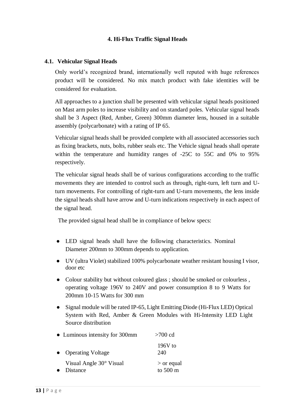#### **4. Hi-Flux Traffic Signal Heads**

#### **4.1. Vehicular Signal Heads**

Only world's recognized brand, internationally well reputed with huge references product will be considered. No mix match product with fake identities will be considered for evaluation.

All approaches to a junction shall be presented with vehicular signal heads positioned on Mast arm poles to increase visibility and on standard poles. Vehicular signal heads shall be 3 Aspect (Red, Amber, Green) 300mm diameter lens, housed in a suitable assembly (polycarbonate) with a rating of IP 65.

Vehicular signal heads shall be provided complete with all associated accessories such as fixing brackets, nuts, bolts, rubber seals etc. The Vehicle signal heads shall operate within the temperature and humidity ranges of -25C to 55C and 0% to 95% respectively.

The vehicular signal heads shall be of various configurations according to the traffic movements they are intended to control such as through, right-turn, left turn and Uturn movements. For controlling of right-turn and U-turn movements, the lens inside the signal heads shall have arrow and U-turn indications respectively in each aspect of the signal head.

The provided signal head shall be in compliance of below specs:

- LED signal heads shall have the following characteristics. Nominal Diameter 200mm to 300mm depends to application.
- UV (ultra Violet) stabilized 100% polycarbonate weather resistant housing I visor, door etc
- Colour stability but without coloured glass; should be smoked or colourless, operating voltage 196V to 240V and power consumption 8 to 9 Watts for 200mm 10-15 Watts for 300 mm
- Signal module will be rated IP-65, Light Emitting Diode (Hi-Flux LED) Optical System with Red, Amber & Green Modules with Hi-Intensity LED Light Source distribution

|           | • Luminous intensity for 300mm             | $>700$ cd                          |
|-----------|--------------------------------------------|------------------------------------|
| $\bullet$ | <b>Operating Voltage</b>                   | $196V$ to<br>240                   |
|           | Visual Angle 30° Visual<br><b>Distance</b> | $>$ or equal<br>to $500 \text{ m}$ |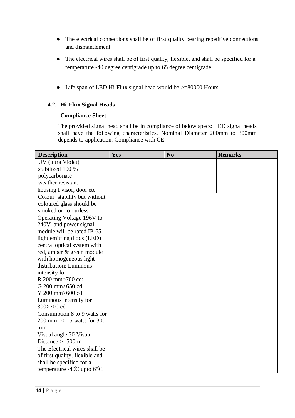- The electrical connections shall be of first quality bearing repetitive connections and dismantlement.
- The electrical wires shall be of first quality, flexible, and shall be specified for a temperature -40 degree centigrade up to 65 degree centigrade.
- Life span of LED Hi-Flux signal head would be  $>=80000$  Hours

#### **4.2. Hi-Flux Signal Heads**

#### **Compliance Sheet**

The provided signal head shall be in compliance of below specs: LED signal heads shall have the following characteristics. Nominal Diameter 200mm to 300mm depends to application. Compliance with CE.

| <b>Description</b>                   | Yes | N <sub>o</sub> | <b>Remarks</b> |
|--------------------------------------|-----|----------------|----------------|
| UV (ultra Violet)                    |     |                |                |
| stabilized 100 %                     |     |                |                |
| polycarbonate                        |     |                |                |
| weather resistant                    |     |                |                |
| housing I visor, door etc            |     |                |                |
| Colour stability but without         |     |                |                |
| coloured glass should be             |     |                |                |
| smoked or colourless                 |     |                |                |
| Operating Voltage 196V to            |     |                |                |
| 240V and power signal                |     |                |                |
| module will be rated IP-65,          |     |                |                |
| light emitting diods (LED)           |     |                |                |
| central optical system with          |     |                |                |
| red, amber & green module            |     |                |                |
| with homogeneous light               |     |                |                |
| distribution: Luminous               |     |                |                |
| intensity for                        |     |                |                |
| R 200 mm>700 cd:                     |     |                |                |
| G 200 mm>650 cd                      |     |                |                |
| Y 200 mm>600 cd                      |     |                |                |
| Luminous intensity for               |     |                |                |
| 300>700 cd                           |     |                |                |
| Consumption 8 to 9 watts for         |     |                |                |
| 200 mm 10-15 watts for 300           |     |                |                |
| mm                                   |     |                |                |
| Visual angle 30° Visual              |     |                |                |
| Distance:>=500 m                     |     |                |                |
| The Electrical wires shall be        |     |                |                |
| of first quality, flexible and       |     |                |                |
| shall be specified for a             |     |                |                |
| temperature $-40^{\circ}$ C upto 65C |     |                |                |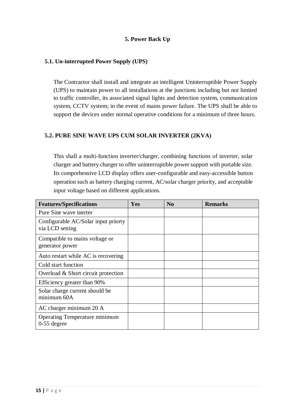#### **5. Power Back Up**

#### **5.1. Un-interrupted Power Supply (UPS)**

The Contractor shall install and integrate an intelligent Uninterruptible Power Supply (UPS) to maintain power to all installations at the junctions including but not limited to traffic controller, its associated signal lights and detection system, communication system, CCTV system; in the event of mains power failure. The UPS shall be able to support the devices under normal operative conditions for a minimum of three hours.

#### **5.2. PURE SINE WAVE UPS CUM SOLAR INVERTER (2KVA)**

This shall a multi-function inverter/charger, combining functions of inverter, solar charger and battery charger to offer uninterruptible power support with portable size. Its comprehensive LCD display offers user-configurable and easy-accessible button operation such as battery charging current, AC/solar charger priority, and acceptable input voltage based on different applications.

| <b>Features/Specifications</b>                         | Yes | N <sub>0</sub> | <b>Remarks</b> |
|--------------------------------------------------------|-----|----------------|----------------|
| Pure Sine wave inerter                                 |     |                |                |
| Configurable AC/Solar input priorty<br>via LCD setting |     |                |                |
| Compatible to mains voltage or<br>generator power      |     |                |                |
| Auto restart while AC is recovering                    |     |                |                |
| Cold start function                                    |     |                |                |
| Overload & Short circuit protection                    |     |                |                |
| Efficiency greater than 90%                            |     |                |                |
| Solar charge current should be<br>minimum 60A          |     |                |                |
| AC charger minimum 20 A                                |     |                |                |
| Operating Temperature minimum<br>$0-55$ degree         |     |                |                |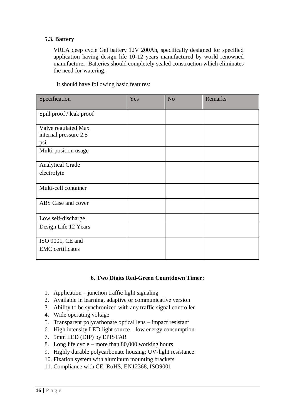#### **5.3. Battery**

VRLA deep cycle Gel battery 12V 200Ah, specifically designed for specified application having design life 10-12 years manufactured by world renowned manufacturer. Batteries should completely sealed construction which eliminates the need for watering.

It should have following basic features:

| Specification                                       | Yes | N <sub>o</sub> | <b>Remarks</b> |
|-----------------------------------------------------|-----|----------------|----------------|
| Spill proof / leak proof                            |     |                |                |
| Valve regulated Max<br>internal pressure 2.5<br>psi |     |                |                |
| Multi-position usage                                |     |                |                |
| <b>Analytical Grade</b><br>electrolyte              |     |                |                |
| Multi-cell container                                |     |                |                |
| ABS Case and cover                                  |     |                |                |
| Low self-discharge                                  |     |                |                |
| Design Life 12 Years                                |     |                |                |
| ISO 9001, CE and<br><b>EMC</b> certificates         |     |                |                |

#### **6. Two Digits Red-Green Countdown Timer:**

- 1. Application junction traffic light signaling
- 2. Available in learning, adaptive or communicative version
- 3. Ability to be synchronized with any traffic signal controller
- 4. Wide operating voltage
- 5. Transparent polycarbonate optical lens impact resistant
- 6. High intensity LED light source low energy consumption
- 7. 5mm LED (DIP) by EPISTAR
- 8. Long life cycle more than 80,000 working hours
- 9. Highly durable polycarbonate housing; UV-light resistance
- 10. Fixation system with aluminum mounting brackets
- 11. Compliance with CE, RoHS, EN12368, ISO9001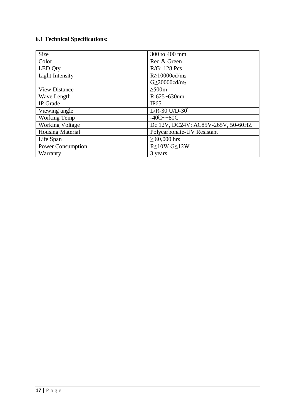## **6.1 Technical Specifications:**

| <b>Size</b>              | 300 to 400 mm                                       |
|--------------------------|-----------------------------------------------------|
| Color                    | Red & Green                                         |
| LED Qty                  | R/G: 128 Pcs                                        |
| Light Intensity          | $R \ge 10000 \text{cd/m}_2$                         |
|                          | G>20000cd/m2                                        |
| <b>View Distance</b>     | >500m                                               |
| Wave Length              | $R:625~630$ nm                                      |
| IP Grade                 | IP65                                                |
| Viewing angle            | $L/R - 30$ U/D-30                                   |
| <b>Working Temp</b>      | $-40^{\circ}\text{C}\rightarrow+80^{\circ}\text{C}$ |
| <b>Working Voltage</b>   | Dc 12V, DC24V; AC85V-265V, 50-60HZ                  |
| <b>Housing Material</b>  | Polycarbonate-UV Resistant                          |
| Life Span                | $\geq 80,000$ hrs                                   |
| <b>Power Consumption</b> | $R \leq 10W$ G $\leq 12W$                           |
| Warranty                 | 3 years                                             |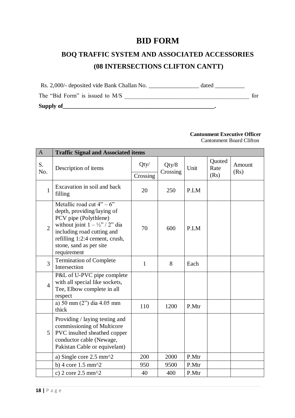## **BID FORM**

## **BOQ TRAFFIC SYSTEM AND ASSOCIATED ACCESSORIES (08 INTERSECTIONS CLIFTON CANTT)**

Rs. 2,000/- deposited vide Bank Challan No. \_\_\_\_\_\_\_\_\_\_\_\_\_\_\_\_\_ dated \_\_\_\_\_\_\_\_\_\_ The "Bid Form" is issued to M/S \_\_\_\_\_\_\_\_\_\_\_\_\_\_\_\_\_\_\_\_\_\_\_\_\_\_\_\_\_\_\_\_\_\_\_\_\_\_\_\_\_\_ for Supply of the contract of the contract of the contract of the contract of the contract of the contract of the contract of the contract of the contract of the contract of the contract of the contract of the contract of the

#### **Cantonment Executive Officer** Cantonment Board Clifton

| $\mathbf{A}$   | <b>Traffic Signal and Associated items</b>                                                                                                                                                                                                |                  |                   |       |                        |                |  |
|----------------|-------------------------------------------------------------------------------------------------------------------------------------------------------------------------------------------------------------------------------------------|------------------|-------------------|-------|------------------------|----------------|--|
| S.<br>No.      | Description of items                                                                                                                                                                                                                      | Qty/<br>Crossing | Qty/8<br>Crossing | Unit  | Quoted<br>Rate<br>(Rs) | Amount<br>(Rs) |  |
| $\mathbf{1}$   | Excavation in soil and back<br>filling                                                                                                                                                                                                    | 20               | 250               | P.LM  |                        |                |  |
| $\overline{2}$ | Metallic road cut $4" - 6"$<br>depth, providing/laying of<br>PCV pipe (Polythlene)<br>without joint $1 - \frac{1}{2}$ , $2$ dia<br>including road cutting and<br>refilling 1:2:4 cement, crush,<br>stone, sand as per site<br>requirement | 70               | 600               | P.LM  |                        |                |  |
| 3              | <b>Termination of Complete</b><br>Intersection                                                                                                                                                                                            | $\mathbf{1}$     | 8                 | Each  |                        |                |  |
| $\overline{4}$ | P&L of U-PVC pipe complete<br>with all special like sockets,<br>Tee, Elbow complete in all<br>respect                                                                                                                                     |                  |                   |       |                        |                |  |
|                | a) 50 mm (2") dia 4.05 mm<br>thick                                                                                                                                                                                                        | 110              | 1200              | P.Mtr |                        |                |  |
| 5              | Providing / laying testing and<br>commissioning of Multicore<br>PVC insulted sheathed copper<br>conductor cable (Newage,<br>Pakistan Cable or equivelant)                                                                                 |                  |                   |       |                        |                |  |
|                | a) Single core 2.5 mm^2                                                                                                                                                                                                                   | 200              | 2000              | P.Mtr |                        |                |  |
|                | b) 4 core $1.5$ mm $^2$                                                                                                                                                                                                                   | 950              | 9500              | P.Mtr |                        |                |  |
|                | c) $2 \text{ core } 2.5 \text{ mm}^2$                                                                                                                                                                                                     | 40               | 400               | P.Mtr |                        |                |  |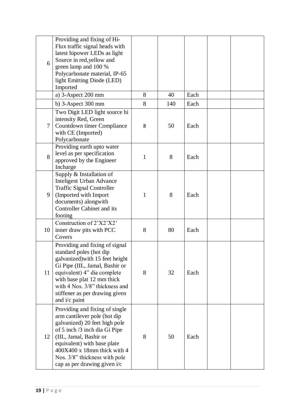| 6              | Providing and fixing of Hi-<br>Flux traffic signal heads with<br>latest hipower LEDs as light<br>Source in red, yellow and<br>green lamp and 100 %<br>Polycarbonate material, IP-65<br>light Emitting Diode (LED)<br>Imported                                                             |              |     |      |  |
|----------------|-------------------------------------------------------------------------------------------------------------------------------------------------------------------------------------------------------------------------------------------------------------------------------------------|--------------|-----|------|--|
|                | a) $3$ -Aspect 200 mm                                                                                                                                                                                                                                                                     | 8            | 40  | Each |  |
|                | b) $3$ -Aspect $300$ mm                                                                                                                                                                                                                                                                   | 8            | 140 | Each |  |
| 7              | Two Digit LED light source hi<br>intensity Red, Green<br>Countdown timer Compliance<br>with CE (Imported)<br>Polycarbonate                                                                                                                                                                | 8            | 50  | Each |  |
| 8              | Providing earth upto water<br>level as per specification<br>approved by the Engineer<br>Incharge                                                                                                                                                                                          | $\mathbf{1}$ | 8   | Each |  |
| 9              | Supply & Installation of<br>Inteligent Urban Advance<br><b>Traffic Signal Controller</b><br>(Imported with Import<br>documents) alongwith<br><b>Controller Cabinet and its</b><br>footing                                                                                                 | $\mathbf{1}$ | 8   | Each |  |
| 10             | Construction of 2'X2'X2'<br>inner draw pits with PCC<br>Covers                                                                                                                                                                                                                            | 8            | 80  | Each |  |
| 11             | Providing and fixing of signal<br>standard poles (hot dip<br>galvanized) with 15 feet height<br>Gi Pipe (IIL, Jamal, Bashir or<br>equivalent) 4" dia complete<br>with base plat 12 mm thick<br>with 4 Nos. $3/8$ " thickness and<br>stiffener as per drawing given<br>and i/c paint       | 8            | 32  | Each |  |
| 12             | Providing and fixing of single<br>arm cantilever pole (hot dip<br>galvanized) 20 feet high pole<br>of 5 inch /3 inch dia Gi Pipe<br>(IIL, Jamal, Bashir or<br>equivalent) with base plate<br>400X400 x 18mm thick with 4<br>Nos. 3/8" thickness with pole<br>cap as per drawing given i/c | 8            | 50  | Each |  |
| $19$   P a g e |                                                                                                                                                                                                                                                                                           |              |     |      |  |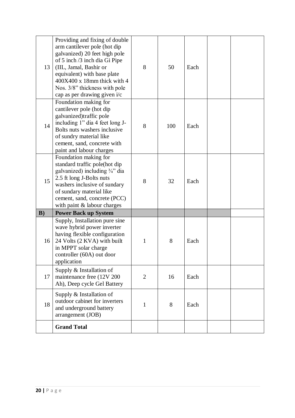| 13 | Providing and fixing of double<br>arm cantilever pole (hot dip<br>galvanized) 20 feet high pole<br>of 5 inch /3 inch dia Gi Pipe<br>(IIL, Jamal, Bashir or<br>equivalent) with base plate<br>400X400 x 18mm thick with 4<br>Nos. 3/8" thickness with pole<br>cap as per drawing given i/c | 8              | 50  | Each |  |
|----|-------------------------------------------------------------------------------------------------------------------------------------------------------------------------------------------------------------------------------------------------------------------------------------------|----------------|-----|------|--|
| 14 | Foundation making for<br>cantilever pole (hot dip<br>galvanized)traffic pole<br>including 1" dia 4 feet long J-<br>Bolts nuts washers inclusive<br>of sundry material like<br>cement, sand, concrete with<br>paint and labour charges                                                     | 8              | 100 | Each |  |
| 15 | Foundation making for<br>standard traffic pole(hot dip<br>galvanized) including 3/4" dia<br>2.5 ft long J-Bolts nuts<br>washers inclusive of sundary<br>of sundary material like<br>cement, sand, concrete (PCC)<br>with paint & labour charges                                           | 8              | 32  | Each |  |
| B) | <b>Power Back up System</b>                                                                                                                                                                                                                                                               |                |     |      |  |
| 16 | Supply, Installation pure sine<br>wave hybrid power inverter<br>having flexible configuration<br>24 Volts (2 KVA) with built<br>in MPPT solar charge<br>controller (60A) out door<br>application                                                                                          | 1              | 8   | Each |  |
| 17 | Supply & Installation of<br>maintenance free (12V 200<br>Ah), Deep cycle Gel Battery                                                                                                                                                                                                      | $\overline{2}$ | 16  | Each |  |
| 18 | Supply & Installation of<br>outdoor cabinet for inverters<br>and underground battery<br>arrangement (JOB)                                                                                                                                                                                 | $\mathbf{1}$   | 8   | Each |  |
|    | <b>Grand Total</b>                                                                                                                                                                                                                                                                        |                |     |      |  |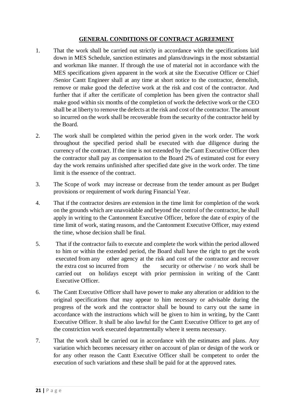#### **GENERAL CONDITIONS OF CONTRACT AGREEMENT**

- 1. That the work shall be carried out strictly in accordance with the specifications laid down in MES Schedule, sanction estimates and plans/drawings in the most substantial and workman like manner. If through the use of material not in accordance with the MES specifications given apparent in the work at site the Executive Officer or Chief /Senior Cantt Engineer shall at any time at short notice to the contractor, demolish, remove or make good the defective work at the risk and cost of the contractor. And further that if after the certificate of completion has been given the contractor shall make good within six months of the completion of work the defective work or the CEO shall be at liberty to remove the defects at the risk and cost of the contractor. The amount so incurred on the work shall be recoverable from the security of the contractor held by the Board.
- 2. The work shall be completed within the period given in the work order. The work throughout the specified period shall be executed with due diligence during the currency of the contract. If the time is not extended by the Cantt Executive Officer then the contractor shall pay as compensation to the Board 2% of estimated cost for every day the work remains unfinished after specified date give in the work order. The time limit is the essence of the contract.
- 3. The Scope of work may increase or decrease from the tender amount as per Budget provisions or requirement of work during Financial Year.
- 4. That if the contractor desires are extension in the time limit for completion of the work on the grounds which are unavoidable and beyond the control of the contractor, he shall apply in writing to the Cantonment Executive Officer, before the date of expiry of the time limit of work, stating reasons, and the Cantonment Executive Officer, may extend the time, whose decision shall be final.
- 5. That if the contractor fails to execute and complete the work within the period allowed to him or within the extended period, the Board shall have the right to get the work executed from any other agency at the risk and cost of the contractor and recover the extra cost so incurred from the security or otherwise / no work shall be carried out on holidays except with prior permission in writing of the Cantt Executive Officer.
- 6. The Cantt Executive Officer shall have power to make any alteration or addition to the original specifications that may appear to him necessary or advisable during the progress of the work and the contractor shall be bound to carry out the same in accordance with the instructions which will be given to him in writing, by the Cantt Executive Officer. It shall be also lawful for the Cantt Executive Officer to get any of the constriction work executed departmentally where it seems necessary.
- 7. That the work shall be carried out in accordance with the estimates and plans. Any variation which becomes necessary either on account of plan or design of the work or for any other reason the Cantt Executive Officer shall be competent to order the execution of such variations and these shall be paid for at the approved rates.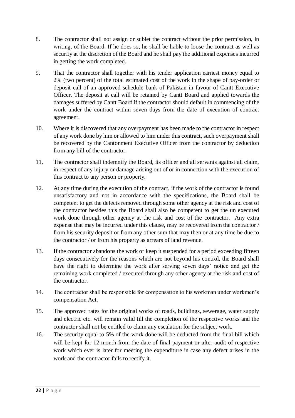- 8. The contractor shall not assign or sublet the contract without the prior permission, in writing, of the Board. If he does so, he shall be liable to loose the contract as well as security at the discretion of the Board and he shall pay the additional expenses incurred in getting the work completed.
- 9. That the contractor shall together with his tender application earnest money equal to 2% (two percent) of the total estimated cost of the work in the shape of pay-order or deposit call of an approved schedule bank of Pakistan in favour of Cantt Executive Officer. The deposit at call will be retained by Cantt Board and applied towards the damages suffered by Cantt Board if the contractor should default in commencing of the work under the contract within seven days from the date of execution of contract agreement.
- 10. Where it is discovered that any overpayment has been made to the contractor in respect of any work done by him or allowed to him under this contract, such overpayment shall be recovered by the Cantonment Executive Officer from the contractor by deduction from any bill of the contractor.
- 11. The contractor shall indemnify the Board, its officer and all servants against all claim, in respect of any injury or damage arising out of or in connection with the execution of this contract to any person or property.
- 12. At any time during the execution of the contract, if the work of the contractor is found unsatisfactory and not in accordance with the specifications, the Board shall be competent to get the defects removed through some other agency at the risk and cost of the contractor besides this the Board shall also be competent to get the un executed work done through other agency at the risk and cost of the contractor. Any extra expense that may be incurred under this clause, may be recovered from the contractor / from his security deposit or from any other sum that may then or at any time be due to the contractor / or from his property as arrears of land revenue.
- 13. If the contractor abandons the work or keep it suspended for a period exceeding fifteen days consecutively for the reasons which are not beyond his control, the Board shall have the right to determine the work after serving seven days' notice and get the remaining work completed / executed through any other agency at the risk and cost of the contractor.
- 14. The contractor shall be responsible for compensation to his workman under workmen's compensation Act.
- 15. The approved rates for the original works of roads, buildings, sewerage, water supply and electric etc. will remain valid till the completion of the respective works and the contractor shall not be entitled to claim any escalation for the subject work.
- 16. The security equal to 5% of the work done will be deducted from the final bill which will be kept for 12 month from the date of final payment or after audit of respective work which ever is later for meeting the expenditure in case any defect arises in the work and the contractor fails to rectify it.